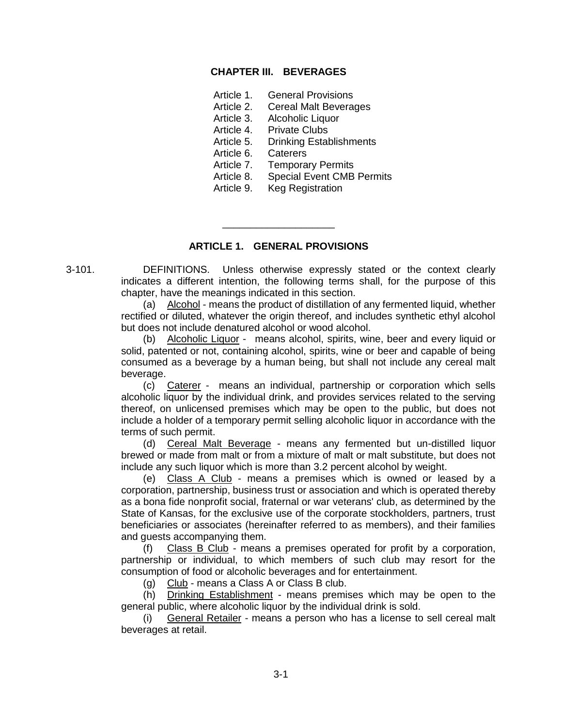## **CHAPTER III. BEVERAGES**

- Article 1. General Provisions
- Article 2. Cereal Malt Beverages
- Article 3. Alcoholic Liquor
- Article 4. Private Clubs
- Article 5. Drinking Establishments
- Article 6. Caterers
- Article 7. Temporary Permits
- Article 8. Special Event CMB Permits
- Article 9. Keg Registration

#### **ARTICLE 1. GENERAL PROVISIONS**

\_\_\_\_\_\_\_\_\_\_\_\_\_\_\_\_\_\_\_\_

3-101. DEFINITIONS. Unless otherwise expressly stated or the context clearly indicates a different intention, the following terms shall, for the purpose of this chapter, have the meanings indicated in this section.

> (a) Alcohol - means the product of distillation of any fermented liquid, whether rectified or diluted, whatever the origin thereof, and includes synthetic ethyl alcohol but does not include denatured alcohol or wood alcohol.

> (b) Alcoholic Liquor - means alcohol, spirits, wine, beer and every liquid or solid, patented or not, containing alcohol, spirits, wine or beer and capable of being consumed as a beverage by a human being, but shall not include any cereal malt beverage.

> (c) Caterer - means an individual, partnership or corporation which sells alcoholic liquor by the individual drink, and provides services related to the serving thereof, on unlicensed premises which may be open to the public, but does not include a holder of a temporary permit selling alcoholic liquor in accordance with the terms of such permit.

> (d) Cereal Malt Beverage - means any fermented but un-distilled liquor brewed or made from malt or from a mixture of malt or malt substitute, but does not include any such liquor which is more than 3.2 percent alcohol by weight.

> (e) Class A Club - means a premises which is owned or leased by a corporation, partnership, business trust or association and which is operated thereby as a bona fide nonprofit social, fraternal or war veterans' club, as determined by the State of Kansas, for the exclusive use of the corporate stockholders, partners, trust beneficiaries or associates (hereinafter referred to as members), and their families and guests accompanying them.

> (f) Class B Club - means a premises operated for profit by a corporation, partnership or individual, to which members of such club may resort for the consumption of food or alcoholic beverages and for entertainment.

(g) Club - means a Class A or Class B club.

(h) Drinking Establishment - means premises which may be open to the general public, where alcoholic liquor by the individual drink is sold.

(i) General Retailer - means a person who has a license to sell cereal malt beverages at retail.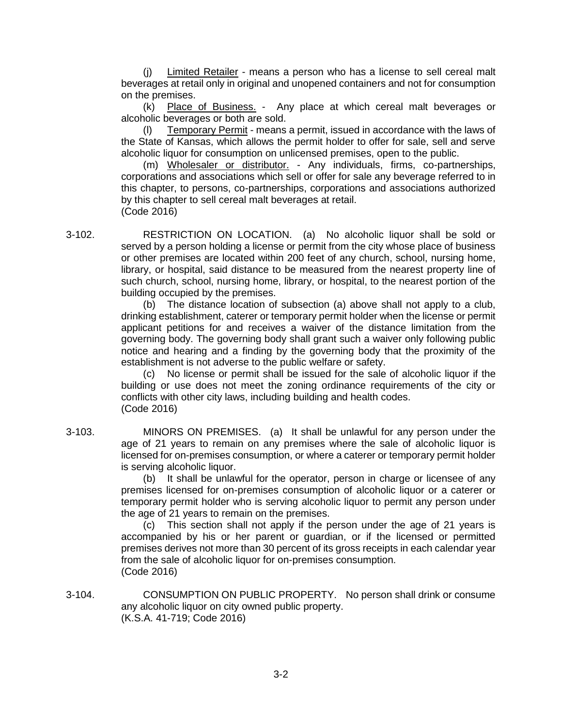(j) Limited Retailer - means a person who has a license to sell cereal malt beverages at retail only in original and unopened containers and not for consumption on the premises.

(k) Place of Business. - Any place at which cereal malt beverages or alcoholic beverages or both are sold.

Temporary Permit - means a permit, issued in accordance with the laws of the State of Kansas, which allows the permit holder to offer for sale, sell and serve alcoholic liquor for consumption on unlicensed premises, open to the public.

(m) Wholesaler or distributor. - Any individuals, firms, co-partnerships, corporations and associations which sell or offer for sale any beverage referred to in this chapter, to persons, co-partnerships, corporations and associations authorized by this chapter to sell cereal malt beverages at retail. (Code 2016)

3-102. RESTRICTION ON LOCATION. (a) No alcoholic liquor shall be sold or served by a person holding a license or permit from the city whose place of business or other premises are located within 200 feet of any church, school, nursing home, library, or hospital, said distance to be measured from the nearest property line of such church, school, nursing home, library, or hospital, to the nearest portion of the building occupied by the premises.

> (b) The distance location of subsection (a) above shall not apply to a club, drinking establishment, caterer or temporary permit holder when the license or permit applicant petitions for and receives a waiver of the distance limitation from the governing body. The governing body shall grant such a waiver only following public notice and hearing and a finding by the governing body that the proximity of the establishment is not adverse to the public welfare or safety.

> (c) No license or permit shall be issued for the sale of alcoholic liquor if the building or use does not meet the zoning ordinance requirements of the city or conflicts with other city laws, including building and health codes. (Code 2016)

3-103. MINORS ON PREMISES. (a) It shall be unlawful for any person under the age of 21 years to remain on any premises where the sale of alcoholic liquor is licensed for on-premises consumption, or where a caterer or temporary permit holder is serving alcoholic liquor.

> (b) It shall be unlawful for the operator, person in charge or licensee of any premises licensed for on-premises consumption of alcoholic liquor or a caterer or temporary permit holder who is serving alcoholic liquor to permit any person under the age of 21 years to remain on the premises.

> (c) This section shall not apply if the person under the age of 21 years is accompanied by his or her parent or guardian, or if the licensed or permitted premises derives not more than 30 percent of its gross receipts in each calendar year from the sale of alcoholic liquor for on-premises consumption. (Code 2016)

3-104. CONSUMPTION ON PUBLIC PROPERTY. No person shall drink or consume any alcoholic liquor on city owned public property. (K.S.A. 41-719; Code 2016)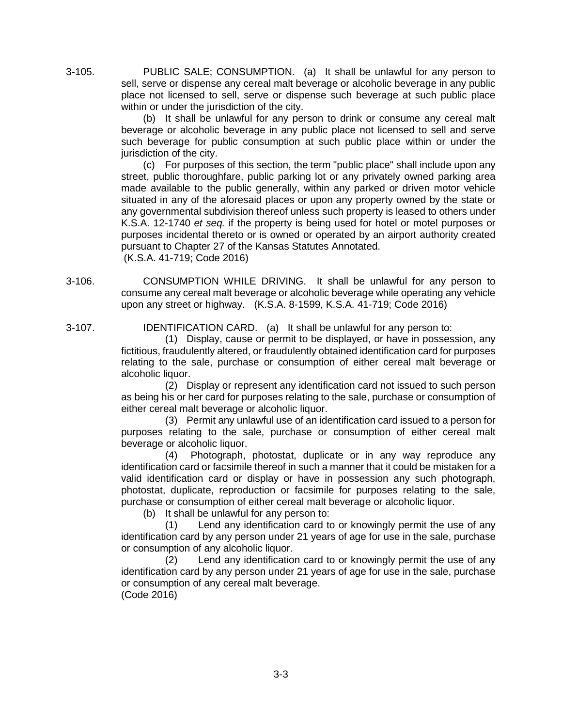3-105. PUBLIC SALE; CONSUMPTION. (a) It shall be unlawful for any person to sell, serve or dispense any cereal malt beverage or alcoholic beverage in any public place not licensed to sell, serve or dispense such beverage at such public place within or under the jurisdiction of the city.

> (b) It shall be unlawful for any person to drink or consume any cereal malt beverage or alcoholic beverage in any public place not licensed to sell and serve such beverage for public consumption at such public place within or under the jurisdiction of the city.

> (c) For purposes of this section, the term "public place" shall include upon any street, public thoroughfare, public parking lot or any privately owned parking area made available to the public generally, within any parked or driven motor vehicle situated in any of the aforesaid places or upon any property owned by the state or any governmental subdivision thereof unless such property is leased to others under K.S.A. 12-1740 *et seq.* if the property is being used for hotel or motel purposes or purposes incidental thereto or is owned or operated by an airport authority created pursuant to Chapter 27 of the Kansas Statutes Annotated. (K.S.A. 41-719; Code 2016)

3-106. CONSUMPTION WHILE DRIVING. It shall be unlawful for any person to consume any cereal malt beverage or alcoholic beverage while operating any vehicle upon any street or highway. (K.S.A. 8-1599, K.S.A. 41-719; Code 2016)

3-107. IDENTIFICATION CARD. (a) It shall be unlawful for any person to:

(1) Display, cause or permit to be displayed, or have in possession, any fictitious, fraudulently altered, or fraudulently obtained identification card for purposes relating to the sale, purchase or consumption of either cereal malt beverage or alcoholic liquor.

(2) Display or represent any identification card not issued to such person as being his or her card for purposes relating to the sale, purchase or consumption of either cereal malt beverage or alcoholic liquor.

(3) Permit any unlawful use of an identification card issued to a person for purposes relating to the sale, purchase or consumption of either cereal malt beverage or alcoholic liquor.

(4) Photograph, photostat, duplicate or in any way reproduce any identification card or facsimile thereof in such a manner that it could be mistaken for a valid identification card or display or have in possession any such photograph, photostat, duplicate, reproduction or facsimile for purposes relating to the sale, purchase or consumption of either cereal malt beverage or alcoholic liquor.

(b) It shall be unlawful for any person to:

(1) Lend any identification card to or knowingly permit the use of any identification card by any person under 21 years of age for use in the sale, purchase or consumption of any alcoholic liquor.

(2) Lend any identification card to or knowingly permit the use of any identification card by any person under 21 years of age for use in the sale, purchase or consumption of any cereal malt beverage. (Code 2016)

3-3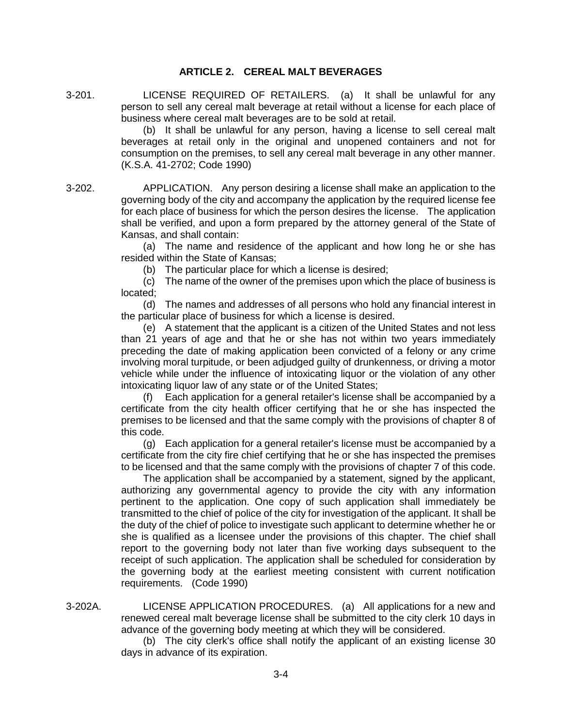## **ARTICLE 2. CEREAL MALT BEVERAGES**

3-201. LICENSE REQUIRED OF RETAILERS. (a) It shall be unlawful for any person to sell any cereal malt beverage at retail without a license for each place of business where cereal malt beverages are to be sold at retail.

> (b) It shall be unlawful for any person, having a license to sell cereal malt beverages at retail only in the original and unopened containers and not for consumption on the premises, to sell any cereal malt beverage in any other manner. (K.S.A. 41-2702; Code 1990)

3-202. APPLICATION. Any person desiring a license shall make an application to the governing body of the city and accompany the application by the required license fee for each place of business for which the person desires the license. The application shall be verified, and upon a form prepared by the attorney general of the State of Kansas, and shall contain:

> (a) The name and residence of the applicant and how long he or she has resided within the State of Kansas;

(b) The particular place for which a license is desired;

(c) The name of the owner of the premises upon which the place of business is located;

(d) The names and addresses of all persons who hold any financial interest in the particular place of business for which a license is desired.

(e) A statement that the applicant is a citizen of the United States and not less than 21 years of age and that he or she has not within two years immediately preceding the date of making application been convicted of a felony or any crime involving moral turpitude, or been adjudged guilty of drunkenness, or driving a motor vehicle while under the influence of intoxicating liquor or the violation of any other intoxicating liquor law of any state or of the United States;

(f) Each application for a general retailer's license shall be accompanied by a certificate from the city health officer certifying that he or she has inspected the premises to be licensed and that the same comply with the provisions of chapter 8 of this code.

(g) Each application for a general retailer's license must be accompanied by a certificate from the city fire chief certifying that he or she has inspected the premises to be licensed and that the same comply with the provisions of chapter 7 of this code.

The application shall be accompanied by a statement, signed by the applicant, authorizing any governmental agency to provide the city with any information pertinent to the application. One copy of such application shall immediately be transmitted to the chief of police of the city for investigation of the applicant. It shall be the duty of the chief of police to investigate such applicant to determine whether he or she is qualified as a licensee under the provisions of this chapter. The chief shall report to the governing body not later than five working days subsequent to the receipt of such application. The application shall be scheduled for consideration by the governing body at the earliest meeting consistent with current notification requirements. (Code 1990)

3-202A. LICENSE APPLICATION PROCEDURES. (a) All applications for a new and renewed cereal malt beverage license shall be submitted to the city clerk 10 days in advance of the governing body meeting at which they will be considered.

> (b) The city clerk's office shall notify the applicant of an existing license 30 days in advance of its expiration.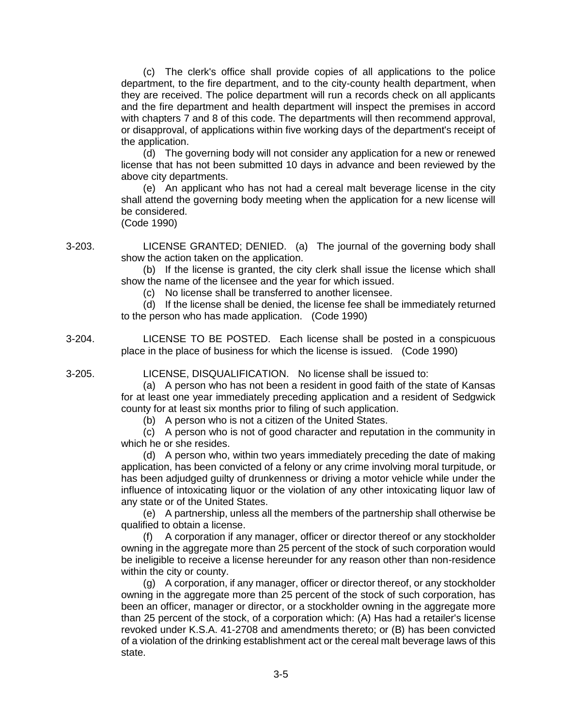(c) The clerk's office shall provide copies of all applications to the police department, to the fire department, and to the city-county health department, when they are received. The police department will run a records check on all applicants and the fire department and health department will inspect the premises in accord with chapters 7 and 8 of this code. The departments will then recommend approval, or disapproval, of applications within five working days of the department's receipt of the application.

(d) The governing body will not consider any application for a new or renewed license that has not been submitted 10 days in advance and been reviewed by the above city departments.

(e) An applicant who has not had a cereal malt beverage license in the city shall attend the governing body meeting when the application for a new license will be considered.

(Code 1990)

3-203. LICENSE GRANTED; DENIED. (a) The journal of the governing body shall show the action taken on the application.

(b) If the license is granted, the city clerk shall issue the license which shall show the name of the licensee and the year for which issued.

(c) No license shall be transferred to another licensee.

(d) If the license shall be denied, the license fee shall be immediately returned to the person who has made application. (Code 1990)

3-204. LICENSE TO BE POSTED. Each license shall be posted in a conspicuous place in the place of business for which the license is issued. (Code 1990)

3-205. LICENSE, DISQUALIFICATION. No license shall be issued to:

(a) A person who has not been a resident in good faith of the state of Kansas for at least one year immediately preceding application and a resident of Sedgwick county for at least six months prior to filing of such application.

(b) A person who is not a citizen of the United States.

(c) A person who is not of good character and reputation in the community in which he or she resides.

(d) A person who, within two years immediately preceding the date of making application, has been convicted of a felony or any crime involving moral turpitude, or has been adjudged guilty of drunkenness or driving a motor vehicle while under the influence of intoxicating liquor or the violation of any other intoxicating liquor law of any state or of the United States.

(e) A partnership, unless all the members of the partnership shall otherwise be qualified to obtain a license.

(f) A corporation if any manager, officer or director thereof or any stockholder owning in the aggregate more than 25 percent of the stock of such corporation would be ineligible to receive a license hereunder for any reason other than non-residence within the city or county.

(g) A corporation, if any manager, officer or director thereof, or any stockholder owning in the aggregate more than 25 percent of the stock of such corporation, has been an officer, manager or director, or a stockholder owning in the aggregate more than 25 percent of the stock, of a corporation which: (A) Has had a retailer's license revoked under K.S.A. 41-2708 and amendments thereto; or (B) has been convicted of a violation of the drinking establishment act or the cereal malt beverage laws of this state.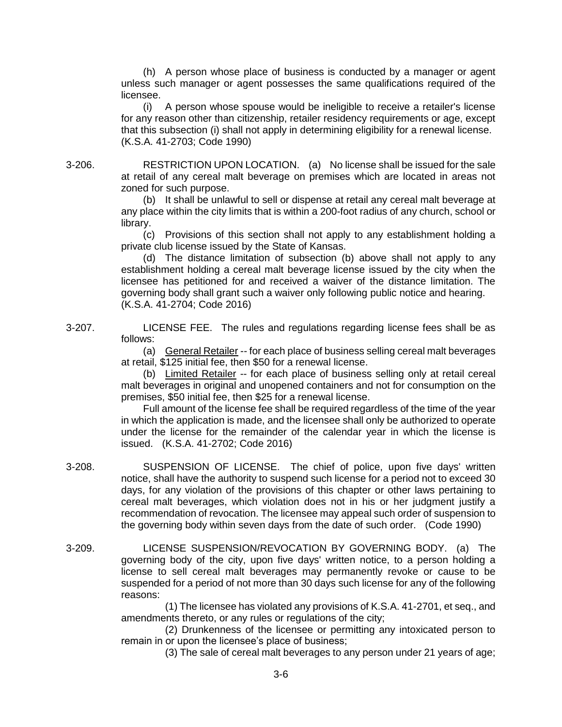(h) A person whose place of business is conducted by a manager or agent unless such manager or agent possesses the same qualifications required of the licensee.

(i) A person whose spouse would be ineligible to receive a retailer's license for any reason other than citizenship, retailer residency requirements or age, except that this subsection (i) shall not apply in determining eligibility for a renewal license. (K.S.A. 41-2703; Code 1990)

3-206. RESTRICTION UPON LOCATION. (a) No license shall be issued for the sale at retail of any cereal malt beverage on premises which are located in areas not zoned for such purpose.

> (b) It shall be unlawful to sell or dispense at retail any cereal malt beverage at any place within the city limits that is within a 200-foot radius of any church, school or library.

> (c) Provisions of this section shall not apply to any establishment holding a private club license issued by the State of Kansas.

> (d) The distance limitation of subsection (b) above shall not apply to any establishment holding a cereal malt beverage license issued by the city when the licensee has petitioned for and received a waiver of the distance limitation. The governing body shall grant such a waiver only following public notice and hearing. (K.S.A. 41-2704; Code 2016)

3-207. LICENSE FEE. The rules and regulations regarding license fees shall be as follows:

(a) General Retailer -- for each place of business selling cereal malt beverages at retail, \$125 initial fee, then \$50 for a renewal license.

(b) Limited Retailer -- for each place of business selling only at retail cereal malt beverages in original and unopened containers and not for consumption on the premises, \$50 initial fee, then \$25 for a renewal license.

Full amount of the license fee shall be required regardless of the time of the year in which the application is made, and the licensee shall only be authorized to operate under the license for the remainder of the calendar year in which the license is issued. (K.S.A. 41-2702; Code 2016)

- 3-208. SUSPENSION OF LICENSE. The chief of police, upon five days' written notice, shall have the authority to suspend such license for a period not to exceed 30 days, for any violation of the provisions of this chapter or other laws pertaining to cereal malt beverages, which violation does not in his or her judgment justify a recommendation of revocation. The licensee may appeal such order of suspension to the governing body within seven days from the date of such order. (Code 1990)
- 3-209. LICENSE SUSPENSION/REVOCATION BY GOVERNING BODY. (a) The governing body of the city, upon five days' written notice, to a person holding a license to sell cereal malt beverages may permanently revoke or cause to be suspended for a period of not more than 30 days such license for any of the following reasons:

(1) The licensee has violated any provisions of K.S.A. 41-2701, et seq., and amendments thereto, or any rules or regulations of the city;

(2) Drunkenness of the licensee or permitting any intoxicated person to remain in or upon the licensee's place of business;

(3) The sale of cereal malt beverages to any person under 21 years of age;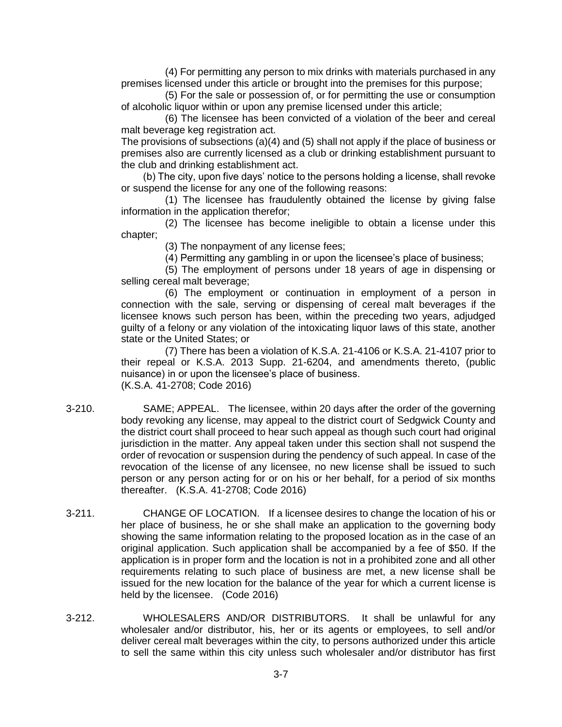(4) For permitting any person to mix drinks with materials purchased in any premises licensed under this article or brought into the premises for this purpose;

(5) For the sale or possession of, or for permitting the use or consumption of alcoholic liquor within or upon any premise licensed under this article;

(6) The licensee has been convicted of a violation of the beer and cereal malt beverage keg registration act.

The provisions of subsections (a)(4) and (5) shall not apply if the place of business or premises also are currently licensed as a club or drinking establishment pursuant to the club and drinking establishment act.

(b) The city, upon five days' notice to the persons holding a license, shall revoke or suspend the license for any one of the following reasons:

(1) The licensee has fraudulently obtained the license by giving false information in the application therefor;

(2) The licensee has become ineligible to obtain a license under this chapter;

(3) The nonpayment of any license fees;

(4) Permitting any gambling in or upon the licensee's place of business;

(5) The employment of persons under 18 years of age in dispensing or selling cereal malt beverage;

(6) The employment or continuation in employment of a person in connection with the sale, serving or dispensing of cereal malt beverages if the licensee knows such person has been, within the preceding two years, adjudged guilty of a felony or any violation of the intoxicating liquor laws of this state, another state or the United States; or

(7) There has been a violation of K.S.A. 21-4106 or K.S.A. 21-4107 prior to their repeal or K.S.A. 2013 Supp. 21-6204, and amendments thereto, (public nuisance) in or upon the licensee's place of business. (K.S.A. 41-2708; Code 2016)

- 3-210. SAME; APPEAL. The licensee, within 20 days after the order of the governing body revoking any license, may appeal to the district court of Sedgwick County and the district court shall proceed to hear such appeal as though such court had original jurisdiction in the matter. Any appeal taken under this section shall not suspend the order of revocation or suspension during the pendency of such appeal. In case of the revocation of the license of any licensee, no new license shall be issued to such person or any person acting for or on his or her behalf, for a period of six months thereafter. (K.S.A. 41-2708; Code 2016)
- 3-211. CHANGE OF LOCATION. If a licensee desires to change the location of his or her place of business, he or she shall make an application to the governing body showing the same information relating to the proposed location as in the case of an original application. Such application shall be accompanied by a fee of \$50. If the application is in proper form and the location is not in a prohibited zone and all other requirements relating to such place of business are met, a new license shall be issued for the new location for the balance of the year for which a current license is held by the licensee. (Code 2016)
- 3-212. WHOLESALERS AND/OR DISTRIBUTORS. It shall be unlawful for any wholesaler and/or distributor, his, her or its agents or employees, to sell and/or deliver cereal malt beverages within the city, to persons authorized under this article to sell the same within this city unless such wholesaler and/or distributor has first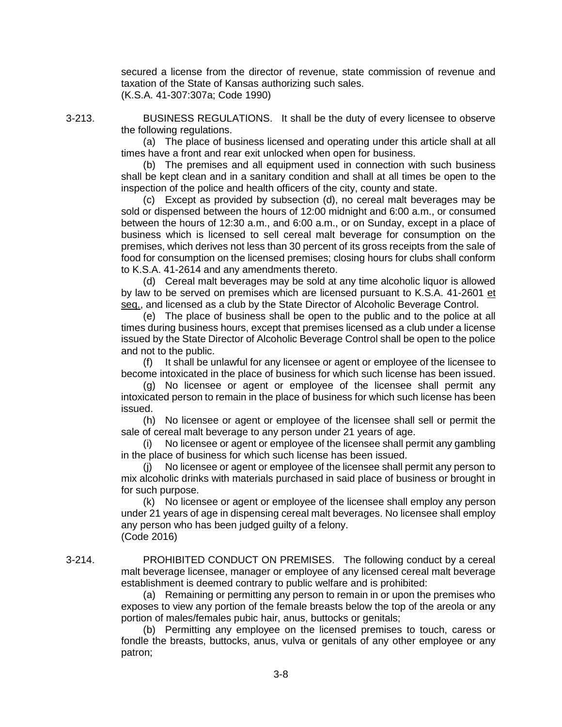secured a license from the director of revenue, state commission of revenue and taxation of the State of Kansas authorizing such sales. (K.S.A. 41-307:307a; Code 1990)

3-213. BUSINESS REGULATIONS. It shall be the duty of every licensee to observe the following regulations.

> (a) The place of business licensed and operating under this article shall at all times have a front and rear exit unlocked when open for business.

> (b) The premises and all equipment used in connection with such business shall be kept clean and in a sanitary condition and shall at all times be open to the inspection of the police and health officers of the city, county and state.

> (c) Except as provided by subsection (d), no cereal malt beverages may be sold or dispensed between the hours of 12:00 midnight and 6:00 a.m., or consumed between the hours of 12:30 a.m., and 6:00 a.m., or on Sunday, except in a place of business which is licensed to sell cereal malt beverage for consumption on the premises, which derives not less than 30 percent of its gross receipts from the sale of food for consumption on the licensed premises; closing hours for clubs shall conform to K.S.A. 41-2614 and any amendments thereto.

> (d) Cereal malt beverages may be sold at any time alcoholic liquor is allowed by law to be served on premises which are licensed pursuant to K.S.A. 41-2601 et seq., and licensed as a club by the State Director of Alcoholic Beverage Control.

> (e) The place of business shall be open to the public and to the police at all times during business hours, except that premises licensed as a club under a license issued by the State Director of Alcoholic Beverage Control shall be open to the police and not to the public.

> (f) It shall be unlawful for any licensee or agent or employee of the licensee to become intoxicated in the place of business for which such license has been issued.

> (g) No licensee or agent or employee of the licensee shall permit any intoxicated person to remain in the place of business for which such license has been issued.

> (h) No licensee or agent or employee of the licensee shall sell or permit the sale of cereal malt beverage to any person under 21 years of age.

> (i) No licensee or agent or employee of the licensee shall permit any gambling in the place of business for which such license has been issued.

> (j) No licensee or agent or employee of the licensee shall permit any person to mix alcoholic drinks with materials purchased in said place of business or brought in for such purpose.

> (k) No licensee or agent or employee of the licensee shall employ any person under 21 years of age in dispensing cereal malt beverages. No licensee shall employ any person who has been judged guilty of a felony. (Code 2016)

3-214. PROHIBITED CONDUCT ON PREMISES. The following conduct by a cereal malt beverage licensee, manager or employee of any licensed cereal malt beverage establishment is deemed contrary to public welfare and is prohibited:

> (a) Remaining or permitting any person to remain in or upon the premises who exposes to view any portion of the female breasts below the top of the areola or any portion of males/females pubic hair, anus, buttocks or genitals;

> (b) Permitting any employee on the licensed premises to touch, caress or fondle the breasts, buttocks, anus, vulva or genitals of any other employee or any patron;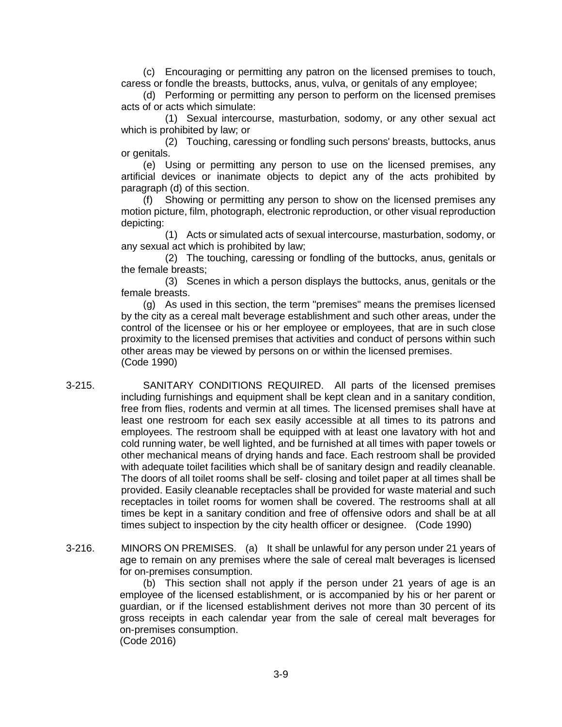(c) Encouraging or permitting any patron on the licensed premises to touch, caress or fondle the breasts, buttocks, anus, vulva, or genitals of any employee;

(d) Performing or permitting any person to perform on the licensed premises acts of or acts which simulate:

(1) Sexual intercourse, masturbation, sodomy, or any other sexual act which is prohibited by law; or

(2) Touching, caressing or fondling such persons' breasts, buttocks, anus or genitals.

(e) Using or permitting any person to use on the licensed premises, any artificial devices or inanimate objects to depict any of the acts prohibited by paragraph (d) of this section.

(f) Showing or permitting any person to show on the licensed premises any motion picture, film, photograph, electronic reproduction, or other visual reproduction depicting:

(1) Acts or simulated acts of sexual intercourse, masturbation, sodomy, or any sexual act which is prohibited by law;

(2) The touching, caressing or fondling of the buttocks, anus, genitals or the female breasts;

(3) Scenes in which a person displays the buttocks, anus, genitals or the female breasts.

(g) As used in this section, the term "premises" means the premises licensed by the city as a cereal malt beverage establishment and such other areas, under the control of the licensee or his or her employee or employees, that are in such close proximity to the licensed premises that activities and conduct of persons within such other areas may be viewed by persons on or within the licensed premises. (Code 1990)

3-215. SANITARY CONDITIONS REQUIRED. All parts of the licensed premises including furnishings and equipment shall be kept clean and in a sanitary condition, free from flies, rodents and vermin at all times. The licensed premises shall have at least one restroom for each sex easily accessible at all times to its patrons and employees. The restroom shall be equipped with at least one lavatory with hot and cold running water, be well lighted, and be furnished at all times with paper towels or other mechanical means of drying hands and face. Each restroom shall be provided with adequate toilet facilities which shall be of sanitary design and readily cleanable. The doors of all toilet rooms shall be self- closing and toilet paper at all times shall be provided. Easily cleanable receptacles shall be provided for waste material and such receptacles in toilet rooms for women shall be covered. The restrooms shall at all times be kept in a sanitary condition and free of offensive odors and shall be at all times subject to inspection by the city health officer or designee. (Code 1990)

3-216. MINORS ON PREMISES. (a) It shall be unlawful for any person under 21 years of age to remain on any premises where the sale of cereal malt beverages is licensed for on-premises consumption.

> (b) This section shall not apply if the person under 21 years of age is an employee of the licensed establishment, or is accompanied by his or her parent or guardian, or if the licensed establishment derives not more than 30 percent of its gross receipts in each calendar year from the sale of cereal malt beverages for on-premises consumption. (Code 2016)

> > 3-9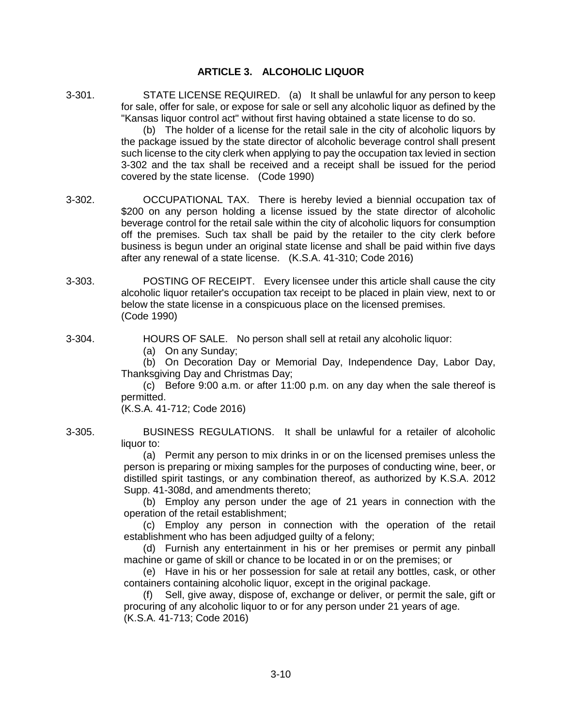# **ARTICLE 3. ALCOHOLIC LIQUOR**

3-301. STATE LICENSE REQUIRED. (a) It shall be unlawful for any person to keep for sale, offer for sale, or expose for sale or sell any alcoholic liquor as defined by the "Kansas liquor control act" without first having obtained a state license to do so.

> (b) The holder of a license for the retail sale in the city of alcoholic liquors by the package issued by the state director of alcoholic beverage control shall present such license to the city clerk when applying to pay the occupation tax levied in section 3-302 and the tax shall be received and a receipt shall be issued for the period covered by the state license. (Code 1990)

- 3-302. OCCUPATIONAL TAX. There is hereby levied a biennial occupation tax of \$200 on any person holding a license issued by the state director of alcoholic beverage control for the retail sale within the city of alcoholic liquors for consumption off the premises. Such tax shall be paid by the retailer to the city clerk before business is begun under an original state license and shall be paid within five days after any renewal of a state license. (K.S.A. 41-310; Code 2016)
- 3-303. POSTING OF RECEIPT. Every licensee under this article shall cause the city alcoholic liquor retailer's occupation tax receipt to be placed in plain view, next to or below the state license in a conspicuous place on the licensed premises. (Code 1990)

3-304. HOURS OF SALE. No person shall sell at retail any alcoholic liquor:

(a) On any Sunday;

(b) On Decoration Day or Memorial Day, Independence Day, Labor Day, Thanksgiving Day and Christmas Day;

(c) Before 9:00 a.m. or after 11:00 p.m. on any day when the sale thereof is permitted.

(K.S.A. 41-712; Code 2016)

3-305. BUSINESS REGULATIONS. It shall be unlawful for a retailer of alcoholic liquor to:

> (a) Permit any person to mix drinks in or on the licensed premises unless the person is preparing or mixing samples for the purposes of conducting wine, beer, or distilled spirit tastings, or any combination thereof, as authorized by K.S.A. 2012 Supp. 41-308d, and amendments thereto;

> (b) Employ any person under the age of 21 years in connection with the operation of the retail establishment;

> (c) Employ any person in connection with the operation of the retail establishment who has been adjudged guilty of a felony;

> (d) Furnish any entertainment in his or her premises or permit any pinball machine or game of skill or chance to be located in or on the premises; or

> (e) Have in his or her possession for sale at retail any bottles, cask, or other containers containing alcoholic liquor, except in the original package.

> (f) Sell, give away, dispose of, exchange or deliver, or permit the sale, gift or procuring of any alcoholic liquor to or for any person under 21 years of age. (K.S.A. 41-713; Code 2016)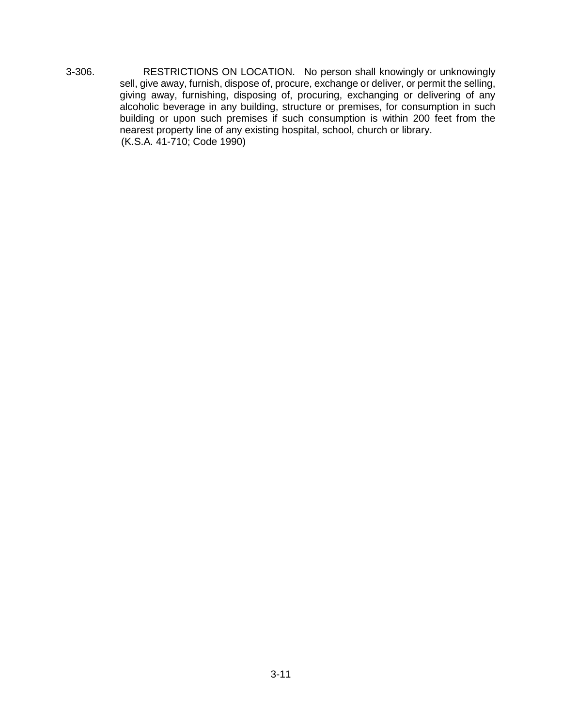3-306. RESTRICTIONS ON LOCATION. No person shall knowingly or unknowingly sell, give away, furnish, dispose of, procure, exchange or deliver, or permit the selling, giving away, furnishing, disposing of, procuring, exchanging or delivering of any alcoholic beverage in any building, structure or premises, for consumption in such building or upon such premises if such consumption is within 200 feet from the nearest property line of any existing hospital, school, church or library. (K.S.A. 41-710; Code 1990)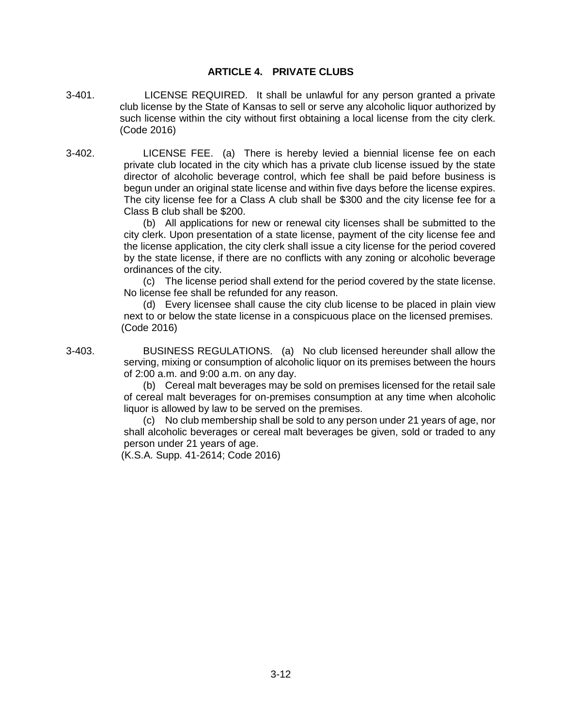## **ARTICLE 4. PRIVATE CLUBS**

- 3-401. LICENSE REQUIRED. It shall be unlawful for any person granted a private club license by the State of Kansas to sell or serve any alcoholic liquor authorized by such license within the city without first obtaining a local license from the city clerk. (Code 2016)
- 3-402. LICENSE FEE. (a) There is hereby levied a biennial license fee on each private club located in the city which has a private club license issued by the state director of alcoholic beverage control, which fee shall be paid before business is begun under an original state license and within five days before the license expires. The city license fee for a Class A club shall be \$300 and the city license fee for a Class B club shall be \$200.

(b) All applications for new or renewal city licenses shall be submitted to the city clerk. Upon presentation of a state license, payment of the city license fee and the license application, the city clerk shall issue a city license for the period covered by the state license, if there are no conflicts with any zoning or alcoholic beverage ordinances of the city.

(c) The license period shall extend for the period covered by the state license. No license fee shall be refunded for any reason.

(d) Every licensee shall cause the city club license to be placed in plain view next to or below the state license in a conspicuous place on the licensed premises. (Code 2016)

3-403. BUSINESS REGULATIONS. (a) No club licensed hereunder shall allow the serving, mixing or consumption of alcoholic liquor on its premises between the hours of 2:00 a.m. and 9:00 a.m. on any day.

> (b) Cereal malt beverages may be sold on premises licensed for the retail sale of cereal malt beverages for on-premises consumption at any time when alcoholic liquor is allowed by law to be served on the premises.

> (c) No club membership shall be sold to any person under 21 years of age, nor shall alcoholic beverages or cereal malt beverages be given, sold or traded to any person under 21 years of age.

(K.S.A. Supp. 41-2614; Code 2016)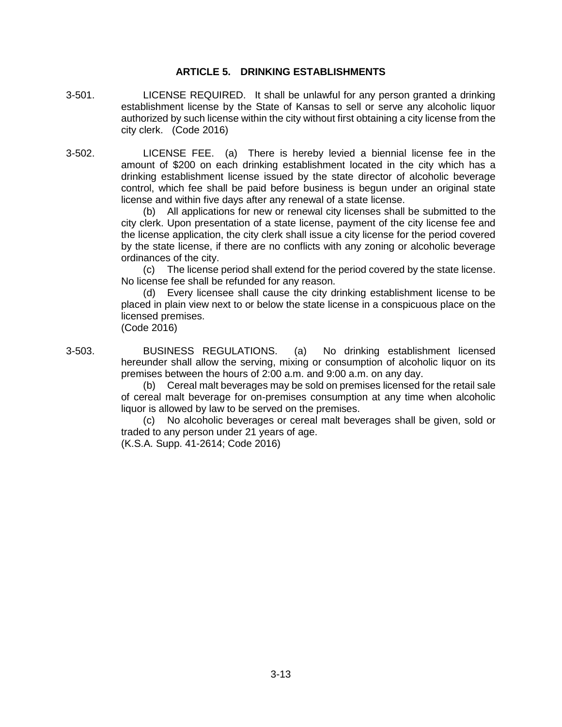### **ARTICLE 5. DRINKING ESTABLISHMENTS**

- 3-501. LICENSE REQUIRED. It shall be unlawful for any person granted a drinking establishment license by the State of Kansas to sell or serve any alcoholic liquor authorized by such license within the city without first obtaining a city license from the city clerk. (Code 2016)
- 3-502. LICENSE FEE. (a) There is hereby levied a biennial license fee in the amount of \$200 on each drinking establishment located in the city which has a drinking establishment license issued by the state director of alcoholic beverage control, which fee shall be paid before business is begun under an original state license and within five days after any renewal of a state license.

(b) All applications for new or renewal city licenses shall be submitted to the city clerk. Upon presentation of a state license, payment of the city license fee and the license application, the city clerk shall issue a city license for the period covered by the state license, if there are no conflicts with any zoning or alcoholic beverage ordinances of the city.

(c) The license period shall extend for the period covered by the state license. No license fee shall be refunded for any reason.

(d) Every licensee shall cause the city drinking establishment license to be placed in plain view next to or below the state license in a conspicuous place on the licensed premises.

(Code 2016)

3-503. BUSINESS REGULATIONS. (a) No drinking establishment licensed hereunder shall allow the serving, mixing or consumption of alcoholic liquor on its premises between the hours of 2:00 a.m. and 9:00 a.m. on any day.

(b) Cereal malt beverages may be sold on premises licensed for the retail sale of cereal malt beverage for on-premises consumption at any time when alcoholic liquor is allowed by law to be served on the premises.

(c) No alcoholic beverages or cereal malt beverages shall be given, sold or traded to any person under 21 years of age.

(K.S.A. Supp. 41-2614; Code 2016)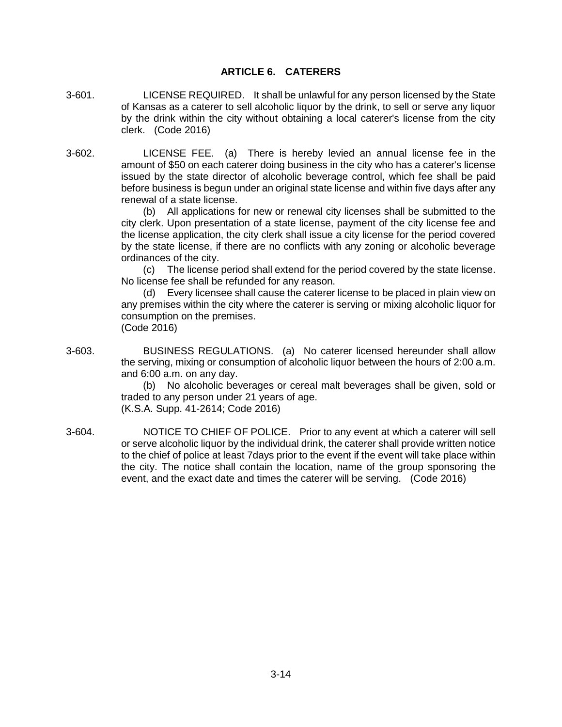# **ARTICLE 6. CATERERS**

- 3-601. LICENSE REQUIRED. It shall be unlawful for any person licensed by the State of Kansas as a caterer to sell alcoholic liquor by the drink, to sell or serve any liquor by the drink within the city without obtaining a local caterer's license from the city clerk. (Code 2016)
- 3-602. LICENSE FEE. (a) There is hereby levied an annual license fee in the amount of \$50 on each caterer doing business in the city who has a caterer's license issued by the state director of alcoholic beverage control, which fee shall be paid before business is begun under an original state license and within five days after any renewal of a state license.

(b) All applications for new or renewal city licenses shall be submitted to the city clerk. Upon presentation of a state license, payment of the city license fee and the license application, the city clerk shall issue a city license for the period covered by the state license, if there are no conflicts with any zoning or alcoholic beverage ordinances of the city.

(c) The license period shall extend for the period covered by the state license. No license fee shall be refunded for any reason.

(d) Every licensee shall cause the caterer license to be placed in plain view on any premises within the city where the caterer is serving or mixing alcoholic liquor for consumption on the premises. (Code 2016)

3-603. BUSINESS REGULATIONS. (a) No caterer licensed hereunder shall allow the serving, mixing or consumption of alcoholic liquor between the hours of 2:00 a.m. and 6:00 a.m. on any day.

(b) No alcoholic beverages or cereal malt beverages shall be given, sold or traded to any person under 21 years of age. (K.S.A. Supp. 41-2614; Code 2016)

3-604. NOTICE TO CHIEF OF POLICE. Prior to any event at which a caterer will sell or serve alcoholic liquor by the individual drink, the caterer shall provide written notice to the chief of police at least 7days prior to the event if the event will take place within the city. The notice shall contain the location, name of the group sponsoring the event, and the exact date and times the caterer will be serving. (Code 2016)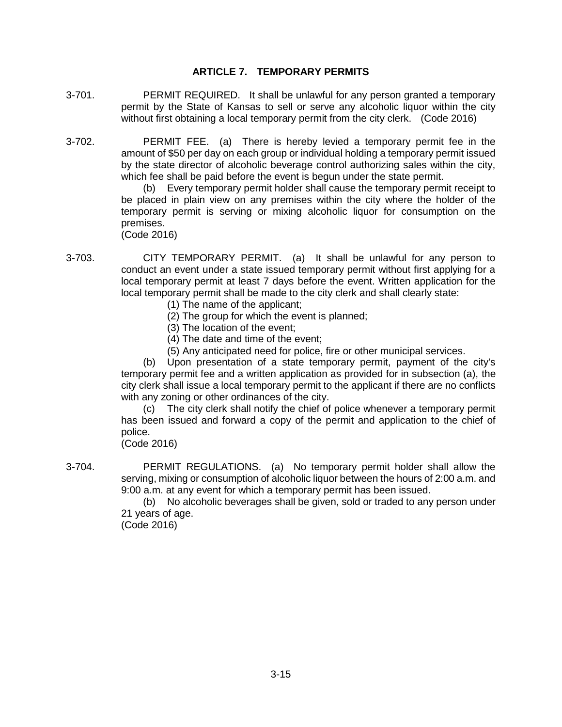# **ARTICLE 7. TEMPORARY PERMITS**

- 3-701. PERMIT REQUIRED. It shall be unlawful for any person granted a temporary permit by the State of Kansas to sell or serve any alcoholic liquor within the city without first obtaining a local temporary permit from the city clerk. (Code 2016)
- 3-702. PERMIT FEE. (a) There is hereby levied a temporary permit fee in the amount of \$50 per day on each group or individual holding a temporary permit issued by the state director of alcoholic beverage control authorizing sales within the city, which fee shall be paid before the event is begun under the state permit.

(b) Every temporary permit holder shall cause the temporary permit receipt to be placed in plain view on any premises within the city where the holder of the temporary permit is serving or mixing alcoholic liquor for consumption on the premises.

(Code 2016)

- 3-703. CITY TEMPORARY PERMIT. (a) It shall be unlawful for any person to conduct an event under a state issued temporary permit without first applying for a local temporary permit at least 7 days before the event. Written application for the local temporary permit shall be made to the city clerk and shall clearly state:
	- (1) The name of the applicant;
	- (2) The group for which the event is planned;
	- (3) The location of the event;
	- (4) The date and time of the event;
	- (5) Any anticipated need for police, fire or other municipal services.

(b) Upon presentation of a state temporary permit, payment of the city's temporary permit fee and a written application as provided for in subsection (a), the city clerk shall issue a local temporary permit to the applicant if there are no conflicts with any zoning or other ordinances of the city.

(c) The city clerk shall notify the chief of police whenever a temporary permit has been issued and forward a copy of the permit and application to the chief of police.

(Code 2016)

3-704. PERMIT REGULATIONS. (a) No temporary permit holder shall allow the serving, mixing or consumption of alcoholic liquor between the hours of 2:00 a.m. and 9:00 a.m. at any event for which a temporary permit has been issued.

> (b) No alcoholic beverages shall be given, sold or traded to any person under 21 years of age.

(Code 2016)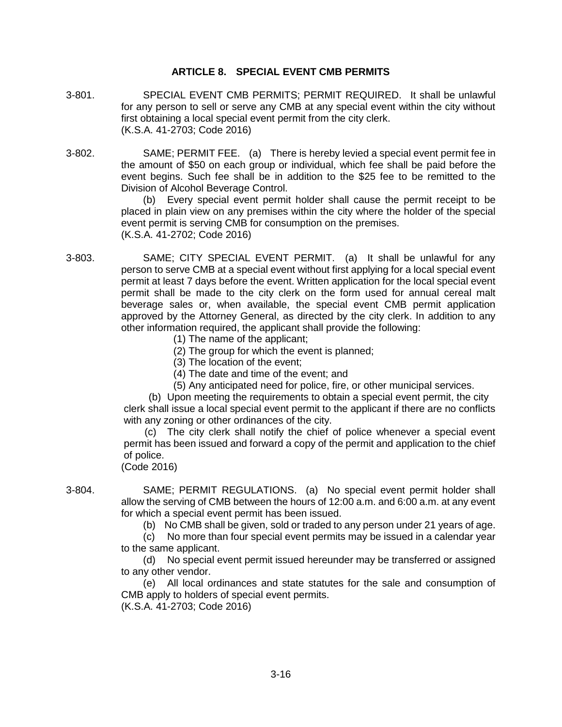# **ARTICLE 8. SPECIAL EVENT CMB PERMITS**

- 3-801. SPECIAL EVENT CMB PERMITS; PERMIT REQUIRED. It shall be unlawful for any person to sell or serve any CMB at any special event within the city without first obtaining a local special event permit from the city clerk. (K.S.A. 41-2703; Code 2016)
- 3-802. SAME; PERMIT FEE. (a) There is hereby levied a special event permit fee in the amount of \$50 on each group or individual, which fee shall be paid before the event begins. Such fee shall be in addition to the \$25 fee to be remitted to the Division of Alcohol Beverage Control.

(b) Every special event permit holder shall cause the permit receipt to be placed in plain view on any premises within the city where the holder of the special event permit is serving CMB for consumption on the premises. (K.S.A. 41-2702; Code 2016)

3-803. SAME; CITY SPECIAL EVENT PERMIT. (a) It shall be unlawful for any person to serve CMB at a special event without first applying for a local special event permit at least 7 days before the event. Written application for the local special event permit shall be made to the city clerk on the form used for annual cereal malt beverage sales or, when available, the special event CMB permit application approved by the Attorney General, as directed by the city clerk. In addition to any other information required, the applicant shall provide the following:

- (1) The name of the applicant;
- (2) The group for which the event is planned;
- (3) The location of the event;
- (4) The date and time of the event; and
- (5) Any anticipated need for police, fire, or other municipal services.

(b) Upon meeting the requirements to obtain a special event permit, the city clerk shall issue a local special event permit to the applicant if there are no conflicts with any zoning or other ordinances of the city.

(c) The city clerk shall notify the chief of police whenever a special event permit has been issued and forward a copy of the permit and application to the chief of police. (Code 2016)

3-804. SAME; PERMIT REGULATIONS. (a) No special event permit holder shall allow the serving of CMB between the hours of 12:00 a.m. and 6:00 a.m. at any event for which a special event permit has been issued.

(b) No CMB shall be given, sold or traded to any person under 21 years of age.

(c) No more than four special event permits may be issued in a calendar year to the same applicant.

(d) No special event permit issued hereunder may be transferred or assigned to any other vendor.

(e) All local ordinances and state statutes for the sale and consumption of CMB apply to holders of special event permits. (K.S.A. 41-2703; Code 2016)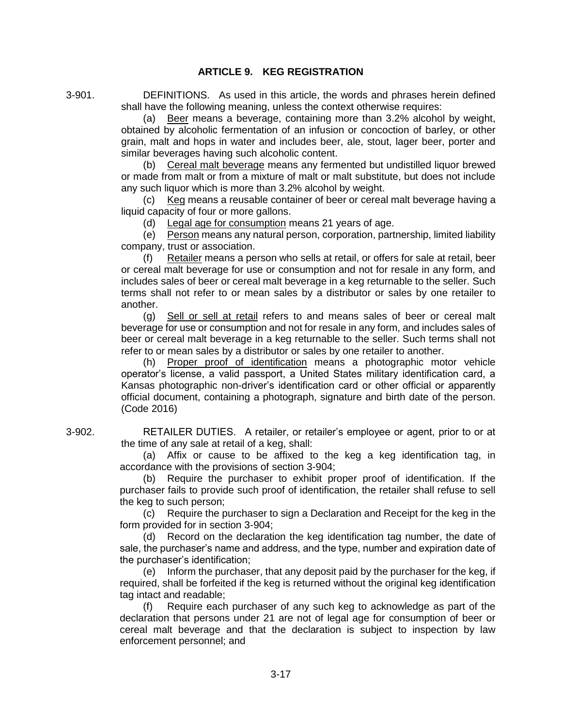# **ARTICLE 9. KEG REGISTRATION**

3-901. DEFINITIONS. As used in this article, the words and phrases herein defined shall have the following meaning, unless the context otherwise requires:

> (a) Beer means a beverage, containing more than 3.2% alcohol by weight, obtained by alcoholic fermentation of an infusion or concoction of barley, or other grain, malt and hops in water and includes beer, ale, stout, lager beer, porter and similar beverages having such alcoholic content.

> (b) Cereal malt beverage means any fermented but undistilled liquor brewed or made from malt or from a mixture of malt or malt substitute, but does not include any such liquor which is more than 3.2% alcohol by weight.

> (c) Keg means a reusable container of beer or cereal malt beverage having a liquid capacity of four or more gallons.

(d) Legal age for consumption means 21 years of age.

(e) Person means any natural person, corporation, partnership, limited liability company, trust or association.

(f) Retailer means a person who sells at retail, or offers for sale at retail, beer or cereal malt beverage for use or consumption and not for resale in any form, and includes sales of beer or cereal malt beverage in a keg returnable to the seller. Such terms shall not refer to or mean sales by a distributor or sales by one retailer to another.

(g) Sell or sell at retail refers to and means sales of beer or cereal malt beverage for use or consumption and not for resale in any form, and includes sales of beer or cereal malt beverage in a keg returnable to the seller. Such terms shall not refer to or mean sales by a distributor or sales by one retailer to another.

(h) Proper proof of identification means a photographic motor vehicle operator's license, a valid passport, a United States military identification card, a Kansas photographic non-driver's identification card or other official or apparently official document, containing a photograph, signature and birth date of the person. (Code 2016)

3-902. RETAILER DUTIES. A retailer, or retailer's employee or agent, prior to or at the time of any sale at retail of a keg, shall:

> (a) Affix or cause to be affixed to the keg a keg identification tag, in accordance with the provisions of section 3-904;

> (b) Require the purchaser to exhibit proper proof of identification. If the purchaser fails to provide such proof of identification, the retailer shall refuse to sell the keg to such person;

> (c) Require the purchaser to sign a Declaration and Receipt for the keg in the form provided for in section 3-904;

> (d) Record on the declaration the keg identification tag number, the date of sale, the purchaser's name and address, and the type, number and expiration date of the purchaser's identification;

> (e) Inform the purchaser, that any deposit paid by the purchaser for the keg, if required, shall be forfeited if the keg is returned without the original keg identification tag intact and readable;

> (f) Require each purchaser of any such keg to acknowledge as part of the declaration that persons under 21 are not of legal age for consumption of beer or cereal malt beverage and that the declaration is subject to inspection by law enforcement personnel; and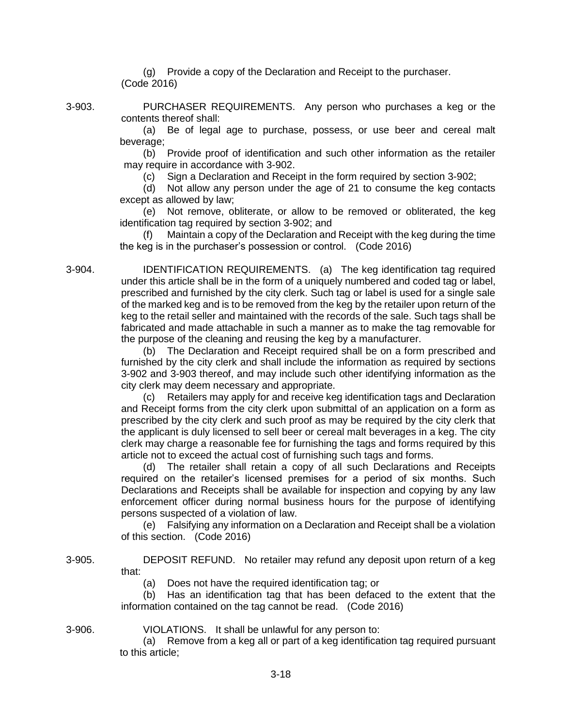(g) Provide a copy of the Declaration and Receipt to the purchaser. (Code 2016)

3-903. PURCHASER REQUIREMENTS. Any person who purchases a keg or the contents thereof shall:

> (a) Be of legal age to purchase, possess, or use beer and cereal malt beverage;

> (b) Provide proof of identification and such other information as the retailer may require in accordance with 3-902.

(c) Sign a Declaration and Receipt in the form required by section 3-902;

(d) Not allow any person under the age of 21 to consume the keg contacts except as allowed by law;

(e) Not remove, obliterate, or allow to be removed or obliterated, the keg identification tag required by section 3-902; and

(f) Maintain a copy of the Declaration and Receipt with the keg during the time the keg is in the purchaser's possession or control. (Code 2016)

3-904. IDENTIFICATION REQUIREMENTS. (a) The keg identification tag required under this article shall be in the form of a uniquely numbered and coded tag or label, prescribed and furnished by the city clerk. Such tag or label is used for a single sale of the marked keg and is to be removed from the keg by the retailer upon return of the keg to the retail seller and maintained with the records of the sale. Such tags shall be fabricated and made attachable in such a manner as to make the tag removable for the purpose of the cleaning and reusing the keg by a manufacturer.

> (b) The Declaration and Receipt required shall be on a form prescribed and furnished by the city clerk and shall include the information as required by sections 3-902 and 3-903 thereof, and may include such other identifying information as the city clerk may deem necessary and appropriate.

> (c) Retailers may apply for and receive keg identification tags and Declaration and Receipt forms from the city clerk upon submittal of an application on a form as prescribed by the city clerk and such proof as may be required by the city clerk that the applicant is duly licensed to sell beer or cereal malt beverages in a keg. The city clerk may charge a reasonable fee for furnishing the tags and forms required by this article not to exceed the actual cost of furnishing such tags and forms.

> (d) The retailer shall retain a copy of all such Declarations and Receipts required on the retailer's licensed premises for a period of six months. Such Declarations and Receipts shall be available for inspection and copying by any law enforcement officer during normal business hours for the purpose of identifying persons suspected of a violation of law.

> (e) Falsifying any information on a Declaration and Receipt shall be a violation of this section. (Code 2016)

3-905. DEPOSIT REFUND. No retailer may refund any deposit upon return of a keg that:

(a) Does not have the required identification tag; or

(b) Has an identification tag that has been defaced to the extent that the information contained on the tag cannot be read. (Code 2016)

3-906. VIOLATIONS. It shall be unlawful for any person to:

(a) Remove from a keg all or part of a keg identification tag required pursuant to this article;